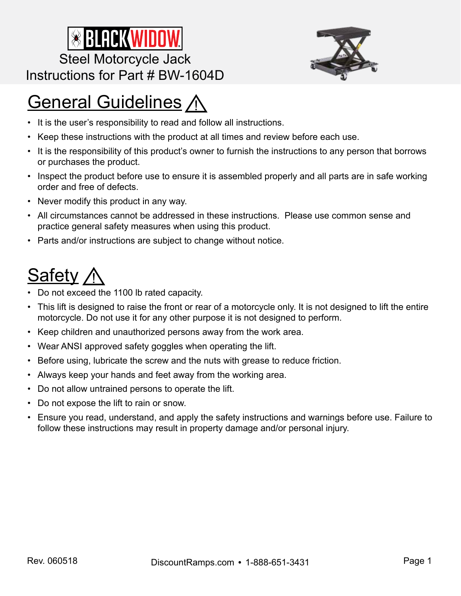



## **General Guidelines A**

- It is the user's responsibility to read and follow all instructions.
- Keep these instructions with the product at all times and review before each use.
- It is the responsibility of this product's owner to furnish the instructions to any person that borrows or purchases the product.
- Inspect the product before use to ensure it is assembled properly and all parts are in safe working order and free of defects.
- Never modify this product in any way.
- All circumstances cannot be addressed in these instructions. Please use common sense and practice general safety measures when using this product.
- Parts and/or instructions are subject to change without notice.

## Safety,

- Do not exceed the 1100 lb rated capacity.
- This lift is designed to raise the front or rear of a motorcycle only. It is not designed to lift the entire motorcycle. Do not use it for any other purpose it is not designed to perform.
- Keep children and unauthorized persons away from the work area.
- Wear ANSI approved safety goggles when operating the lift.
- Before using, lubricate the screw and the nuts with grease to reduce friction.
- Always keep your hands and feet away from the working area.
- Do not allow untrained persons to operate the lift.
- Do not expose the lift to rain or snow.
- Ensure you read, understand, and apply the safety instructions and warnings before use. Failure to follow these instructions may result in property damage and/or personal injury.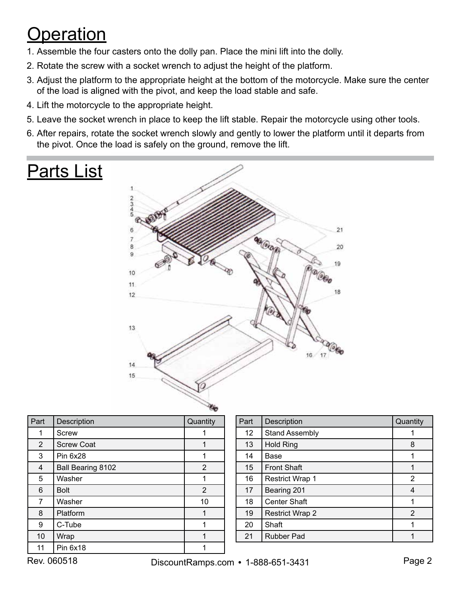## **Operation**

- 1. Assemble the four casters onto the dolly pan. Place the mini lift into the dolly.
- 2. Rotate the screw with a socket wrench to adjust the height of the platform.
- 3. Adjust the platform to the appropriate height at the bottom of the motorcycle. Make sure the center of the load is aligned with the pivot, and keep the load stable and safe.
- 4. Lift the motorcycle to the appropriate height.
- 5. Leave the socket wrench in place to keep the lift stable. Repair the motorcycle using other tools.
- 6. After repairs, rotate the socket wrench slowly and gently to lower the platform until it departs from the pivot. Once the load is safely on the ground, remove the lift.

# Parts List



| Part           | Description       | Quantity |
|----------------|-------------------|----------|
| 1              | <b>Screw</b>      |          |
| $\overline{2}$ | <b>Screw Coat</b> |          |
| 3              | <b>Pin 6x28</b>   |          |
| 4              | Ball Bearing 8102 | 2        |
| 5              | Washer            |          |
| 6              | <b>Bolt</b>       | 2        |
| 7              | Washer            | 10       |
| 8              | Platform          |          |
| 9              | C-Tube            | 1        |
| 10             | Wrap              | 1        |
| 11             | Pin 6x18          |          |

| Part            | Description            | Quantity |
|-----------------|------------------------|----------|
| 12 <sup>2</sup> | <b>Stand Assembly</b>  |          |
| 13              | <b>Hold Ring</b>       | 8        |
| 14              | Base                   |          |
| 15              | <b>Front Shaft</b>     |          |
| 16              | <b>Restrict Wrap 1</b> | 2        |
| 17              | Bearing 201            | 4        |
| 18              | <b>Center Shaft</b>    |          |
| 19              | <b>Restrict Wrap 2</b> | 2        |
| 20              | Shaft                  |          |
| 21              | <b>Rubber Pad</b>      |          |